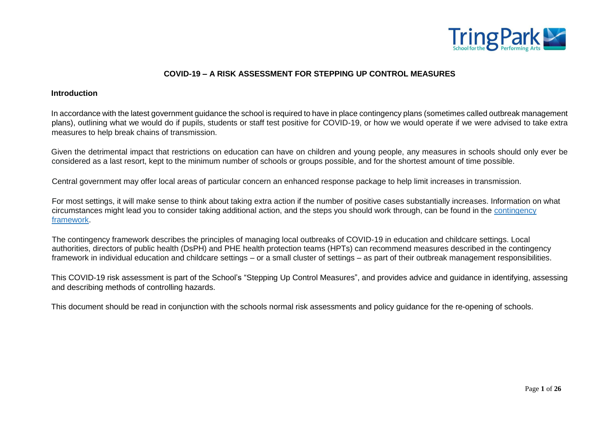

### **COVID-19 – A RISK ASSESSMENT FOR STEPPING UP CONTROL MEASURES**

#### **Introduction**

In accordance with the latest government guidance the school is required to have in place contingency plans (sometimes called outbreak management plans), outlining what we would do if pupils, students or staff test positive for COVID-19, or how we would operate if we were advised to take extra measures to help break chains of transmission.

Given the detrimental impact that restrictions on education can have on children and young people, any measures in schools should only ever be considered as a last resort, kept to the minimum number of schools or groups possible, and for the shortest amount of time possible.

Central government may offer local areas of particular concern an enhanced response package to help limit increases in transmission.

For most settings, it will make sense to think about taking extra action if the number of positive cases substantially increases. Information on what circumstances might lead you to consider taking additional action, and the steps you should work through, can be found in the [contingency](https://www.gov.uk/government/publications/coronavirus-covid-19-local-restrictions-in-education-and-childcare-settings/contingency-framework-education-and-childcare-settings) [framework.](https://www.gov.uk/government/publications/coronavirus-covid-19-local-restrictions-in-education-and-childcare-settings/contingency-framework-education-and-childcare-settings)

The contingency framework describes the principles of managing local outbreaks of COVID-19 in education and childcare settings. Local authorities, directors of public health (DsPH) and PHE health protection teams (HPTs) can recommend measures described in the contingency framework in individual education and childcare settings – or a small cluster of settings – as part of their outbreak management responsibilities.

This COVID-19 risk assessment is part of the School's "Stepping Up Control Measures", and provides advice and guidance in identifying, assessing and describing methods of controlling hazards.

This document should be read in conjunction with the schools normal risk assessments and policy guidance for the re-opening of schools.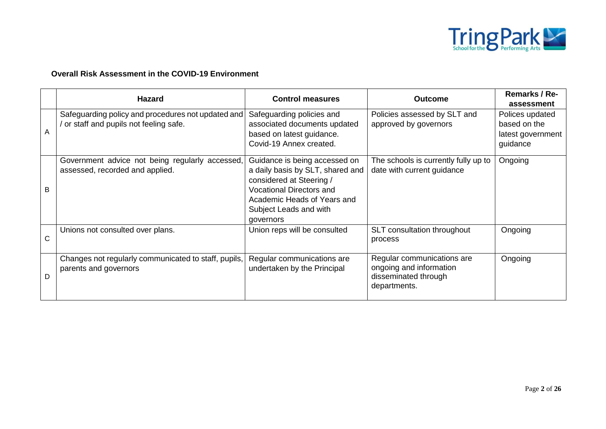

## **Overall Risk Assessment in the COVID-19 Environment**

|   | <b>Hazard</b>                                                                               | <b>Control measures</b>                                                                                                                                                                                | <b>Outcome</b>                                                                                | <b>Remarks / Re-</b><br>assessment                               |
|---|---------------------------------------------------------------------------------------------|--------------------------------------------------------------------------------------------------------------------------------------------------------------------------------------------------------|-----------------------------------------------------------------------------------------------|------------------------------------------------------------------|
| A | Safeguarding policy and procedures not updated and<br>or staff and pupils not feeling safe. | Safeguarding policies and<br>associated documents updated<br>based on latest guidance.<br>Covid-19 Annex created.                                                                                      | Policies assessed by SLT and<br>approved by governors                                         | Polices updated<br>based on the<br>latest government<br>guidance |
| B | Government advice not being regularly accessed,<br>assessed, recorded and applied.          | Guidance is being accessed on<br>a daily basis by SLT, shared and<br>considered at Steering /<br><b>Vocational Directors and</b><br>Academic Heads of Years and<br>Subject Leads and with<br>governors | The schools is currently fully up to<br>date with current guidance                            | Ongoing                                                          |
| C | Unions not consulted over plans.                                                            | Union reps will be consulted                                                                                                                                                                           | SLT consultation throughout<br>process                                                        | Ongoing                                                          |
| D | Changes not regularly communicated to staff, pupils,<br>parents and governors               | Regular communications are<br>undertaken by the Principal                                                                                                                                              | Regular communications are<br>ongoing and information<br>disseminated through<br>departments. | Ongoing                                                          |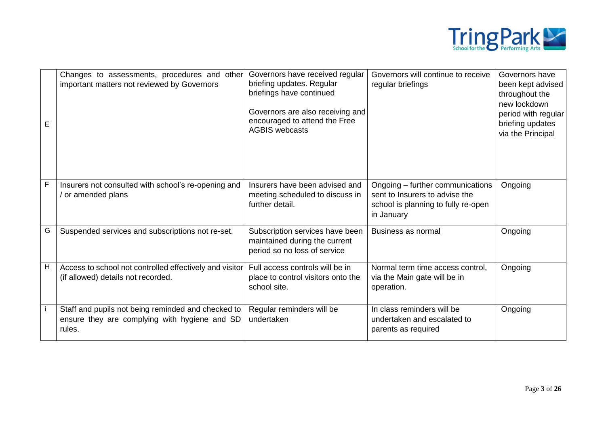

| E | Changes to assessments, procedures and other<br>important matters not reviewed by Governors                   | Governors have received regular<br>briefing updates. Regular<br>briefings have continued<br>Governors are also receiving and<br>encouraged to attend the Free<br><b>AGBIS webcasts</b> | Governors will continue to receive<br>regular briefings                                                                 | Governors have<br>been kept advised<br>throughout the<br>new lockdown<br>period with regular<br>briefing updates<br>via the Principal |
|---|---------------------------------------------------------------------------------------------------------------|----------------------------------------------------------------------------------------------------------------------------------------------------------------------------------------|-------------------------------------------------------------------------------------------------------------------------|---------------------------------------------------------------------------------------------------------------------------------------|
| F | Insurers not consulted with school's re-opening and<br>/ or amended plans                                     | Insurers have been advised and<br>meeting scheduled to discuss in<br>further detail.                                                                                                   | Ongoing – further communications<br>sent to Insurers to advise the<br>school is planning to fully re-open<br>in January | Ongoing                                                                                                                               |
| G | Suspended services and subscriptions not re-set.                                                              | Subscription services have been<br>maintained during the current<br>period so no loss of service                                                                                       | Business as normal                                                                                                      | Ongoing                                                                                                                               |
| н | Access to school not controlled effectively and visitor<br>(if allowed) details not recorded.                 | Full access controls will be in<br>place to control visitors onto the<br>school site.                                                                                                  | Normal term time access control,<br>via the Main gate will be in<br>operation.                                          | Ongoing                                                                                                                               |
|   | Staff and pupils not being reminded and checked to<br>ensure they are complying with hygiene and SD<br>rules. | Regular reminders will be<br>undertaken                                                                                                                                                | In class reminders will be<br>undertaken and escalated to<br>parents as required                                        | Ongoing                                                                                                                               |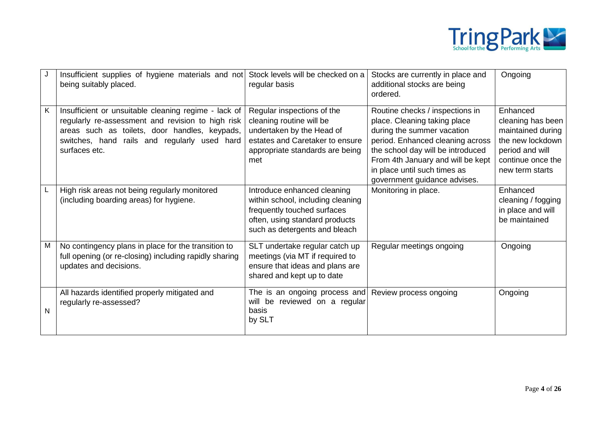

|   | Insufficient supplies of hygiene materials and not<br>being suitably placed.                                                                                                                                                | Stock levels will be checked on a<br>regular basis                                                                                                                 | Stocks are currently in place and<br>additional stocks are being<br>ordered.                                                                                                                                                                                                | Ongoing                                                                                                                           |
|---|-----------------------------------------------------------------------------------------------------------------------------------------------------------------------------------------------------------------------------|--------------------------------------------------------------------------------------------------------------------------------------------------------------------|-----------------------------------------------------------------------------------------------------------------------------------------------------------------------------------------------------------------------------------------------------------------------------|-----------------------------------------------------------------------------------------------------------------------------------|
| K | Insufficient or unsuitable cleaning regime - lack of<br>regularly re-assessment and revision to high risk<br>areas such as toilets, door handles, keypads,<br>switches, hand rails and regularly used hard<br>surfaces etc. | Regular inspections of the<br>cleaning routine will be<br>undertaken by the Head of<br>estates and Caretaker to ensure<br>appropriate standards are being<br>met   | Routine checks / inspections in<br>place. Cleaning taking place<br>during the summer vacation<br>period. Enhanced cleaning across<br>the school day will be introduced<br>From 4th January and will be kept<br>in place until such times as<br>government guidance advises. | Enhanced<br>cleaning has been<br>maintained during<br>the new lockdown<br>period and will<br>continue once the<br>new term starts |
|   | High risk areas not being regularly monitored<br>(including boarding areas) for hygiene.                                                                                                                                    | Introduce enhanced cleaning<br>within school, including cleaning<br>frequently touched surfaces<br>often, using standard products<br>such as detergents and bleach | Monitoring in place.                                                                                                                                                                                                                                                        | Enhanced<br>cleaning / fogging<br>in place and will<br>be maintained                                                              |
| M | No contingency plans in place for the transition to<br>full opening (or re-closing) including rapidly sharing<br>updates and decisions.                                                                                     | SLT undertake regular catch up<br>meetings (via MT if required to<br>ensure that ideas and plans are<br>shared and kept up to date                                 | Regular meetings ongoing                                                                                                                                                                                                                                                    | Ongoing                                                                                                                           |
| N | All hazards identified properly mitigated and<br>regularly re-assessed?                                                                                                                                                     | The is an ongoing process and<br>will be reviewed on a regular<br>basis<br>by SLT                                                                                  | Review process ongoing                                                                                                                                                                                                                                                      | Ongoing                                                                                                                           |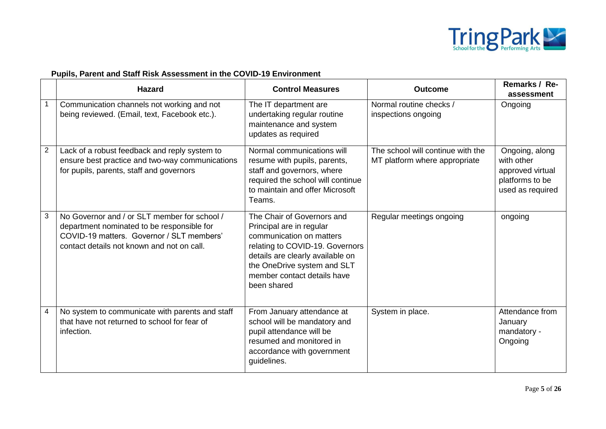

## **Pupils, Parent and Staff Risk Assessment in the COVID-19 Environment**

|                | <b>Hazard</b>                                                                                                                                                                         | <b>Control Measures</b>                                                                                                                                                                                                                | <b>Outcome</b>                                                     | Remarks / Re-<br>assessment                                                             |
|----------------|---------------------------------------------------------------------------------------------------------------------------------------------------------------------------------------|----------------------------------------------------------------------------------------------------------------------------------------------------------------------------------------------------------------------------------------|--------------------------------------------------------------------|-----------------------------------------------------------------------------------------|
|                | Communication channels not working and not<br>being reviewed. (Email, text, Facebook etc.).                                                                                           | The IT department are<br>undertaking regular routine<br>maintenance and system<br>updates as required                                                                                                                                  | Normal routine checks /<br>inspections ongoing                     | Ongoing                                                                                 |
| $\overline{c}$ | Lack of a robust feedback and reply system to<br>ensure best practice and two-way communications<br>for pupils, parents, staff and governors                                          | Normal communications will<br>resume with pupils, parents,<br>staff and governors, where<br>required the school will continue<br>to maintain and offer Microsoft<br>Teams.                                                             | The school will continue with the<br>MT platform where appropriate | Ongoing, along<br>with other<br>approved virtual<br>platforms to be<br>used as required |
| 3              | No Governor and / or SLT member for school /<br>department nominated to be responsible for<br>COVID-19 matters. Governor / SLT members'<br>contact details not known and not on call. | The Chair of Governors and<br>Principal are in regular<br>communication on matters<br>relating to COVID-19. Governors<br>details are clearly available on<br>the OneDrive system and SLT<br>member contact details have<br>been shared | Regular meetings ongoing                                           | ongoing                                                                                 |
| 4              | No system to communicate with parents and staff<br>that have not returned to school for fear of<br>infection.                                                                         | From January attendance at<br>school will be mandatory and<br>pupil attendance will be<br>resumed and monitored in<br>accordance with government<br>guidelines.                                                                        | System in place.                                                   | Attendance from<br>January<br>mandatory -<br>Ongoing                                    |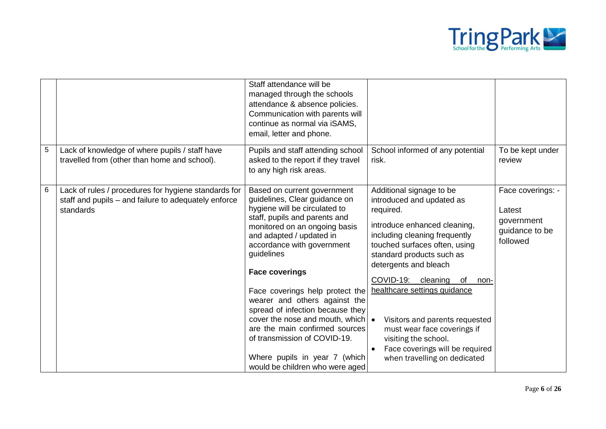

|                |                                                                                                                           | Staff attendance will be<br>managed through the schools<br>attendance & absence policies.<br>Communication with parents will<br>continue as normal via iSAMS,<br>email, letter and phone.                                                                                                                                                                                                                                                                                                                                                         |                                                                                                                                                                                                                                                                                                                                                                                                                                                            |                                                                         |
|----------------|---------------------------------------------------------------------------------------------------------------------------|---------------------------------------------------------------------------------------------------------------------------------------------------------------------------------------------------------------------------------------------------------------------------------------------------------------------------------------------------------------------------------------------------------------------------------------------------------------------------------------------------------------------------------------------------|------------------------------------------------------------------------------------------------------------------------------------------------------------------------------------------------------------------------------------------------------------------------------------------------------------------------------------------------------------------------------------------------------------------------------------------------------------|-------------------------------------------------------------------------|
| $\overline{5}$ | Lack of knowledge of where pupils / staff have<br>travelled from (other than home and school).                            | Pupils and staff attending school<br>asked to the report if they travel<br>to any high risk areas.                                                                                                                                                                                                                                                                                                                                                                                                                                                | School informed of any potential<br>risk.                                                                                                                                                                                                                                                                                                                                                                                                                  | To be kept under<br>review                                              |
| $\,6$          | Lack of rules / procedures for hygiene standards for<br>staff and pupils - and failure to adequately enforce<br>standards | Based on current government<br>guidelines, Clear guidance on<br>hygiene will be circulated to<br>staff, pupils and parents and<br>monitored on an ongoing basis<br>and adapted / updated in<br>accordance with government<br>guidelines<br><b>Face coverings</b><br>Face coverings help protect the<br>wearer and others against the<br>spread of infection because they<br>cover the nose and mouth, which<br>are the main confirmed sources<br>of transmission of COVID-19.<br>Where pupils in year 7 (which<br>would be children who were aged | Additional signage to be<br>introduced and updated as<br>required.<br>introduce enhanced cleaning,<br>including cleaning frequently<br>touched surfaces often, using<br>standard products such as<br>detergents and bleach<br>COVID-19: cleaning<br>of<br>non-<br>healthcare settings guidance<br>Visitors and parents requested<br>must wear face coverings if<br>visiting the school.<br>Face coverings will be required<br>when travelling on dedicated | Face coverings: -<br>Latest<br>government<br>guidance to be<br>followed |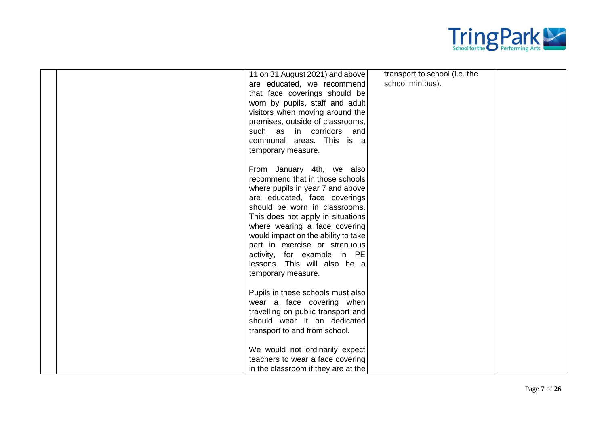

|  | 11 on 31 August 2021) and above     | transport to school (i.e. the |  |
|--|-------------------------------------|-------------------------------|--|
|  | are educated, we recommend          | school minibus).              |  |
|  | that face coverings should be       |                               |  |
|  | worn by pupils, staff and adult     |                               |  |
|  | visitors when moving around the     |                               |  |
|  | premises, outside of classrooms,    |                               |  |
|  | such as<br>in corridors<br>and      |                               |  |
|  | communal areas. This is a           |                               |  |
|  | temporary measure.                  |                               |  |
|  |                                     |                               |  |
|  | From January 4th, we also           |                               |  |
|  | recommend that in those schools     |                               |  |
|  | where pupils in year 7 and above    |                               |  |
|  | are educated, face coverings        |                               |  |
|  | should be worn in classrooms.       |                               |  |
|  | This does not apply in situations   |                               |  |
|  | where wearing a face covering       |                               |  |
|  | would impact on the ability to take |                               |  |
|  | part in exercise or strenuous       |                               |  |
|  | activity, for example in PE         |                               |  |
|  | lessons. This will also be a        |                               |  |
|  | temporary measure.                  |                               |  |
|  | Pupils in these schools must also   |                               |  |
|  | wear a face covering when           |                               |  |
|  | travelling on public transport and  |                               |  |
|  | should wear it on dedicated         |                               |  |
|  | transport to and from school.       |                               |  |
|  |                                     |                               |  |
|  | We would not ordinarily expect      |                               |  |
|  | teachers to wear a face covering    |                               |  |
|  | in the classroom if they are at the |                               |  |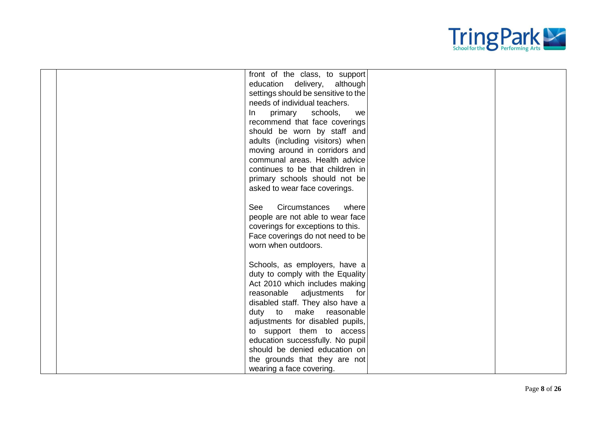

| front of the class, to support<br>education delivery,<br>although |  |
|-------------------------------------------------------------------|--|
| settings should be sensitive to the                               |  |
| needs of individual teachers.                                     |  |
| schools,<br>primary<br>In<br>we                                   |  |
| recommend that face coverings                                     |  |
| should be worn by staff and                                       |  |
| adults (including visitors) when                                  |  |
| moving around in corridors and                                    |  |
| communal areas. Health advice                                     |  |
| continues to be that children in                                  |  |
| primary schools should not be                                     |  |
| asked to wear face coverings.                                     |  |
|                                                                   |  |
| <b>Circumstances</b><br>See<br>where                              |  |
| people are not able to wear face                                  |  |
| coverings for exceptions to this.                                 |  |
| Face coverings do not need to be                                  |  |
| worn when outdoors.                                               |  |
|                                                                   |  |
| Schools, as employers, have a                                     |  |
| duty to comply with the Equality                                  |  |
| Act 2010 which includes making                                    |  |
| reasonable adjustments<br>for                                     |  |
| disabled staff. They also have a                                  |  |
| make<br>duty to<br>reasonable                                     |  |
| adjustments for disabled pupils,                                  |  |
| to support them to access                                         |  |
| education successfully. No pupil                                  |  |
| should be denied education on                                     |  |
| the grounds that they are not                                     |  |
| wearing a face covering.                                          |  |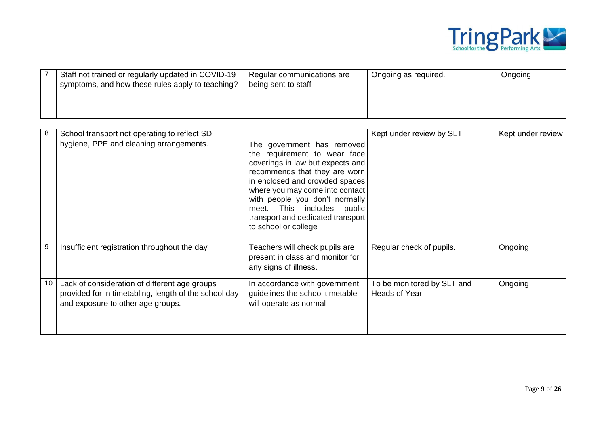

| Staff not trained or regularly updated in COVID-19<br>symptoms, and how these rules apply to teaching? | Regular communications are<br>being sent to staff | Ongoing as required. | Ongoing |
|--------------------------------------------------------------------------------------------------------|---------------------------------------------------|----------------------|---------|
|                                                                                                        |                                                   |                      |         |

| 8  | School transport not operating to reflect SD,<br>hygiene, PPE and cleaning arrangements.                                                    | The government has removed<br>the requirement to wear face<br>coverings in law but expects and<br>recommends that they are worn<br>in enclosed and crowded spaces<br>where you may come into contact<br>with people you don't normally<br>meet. This includes public<br>transport and dedicated transport<br>to school or college | Kept under review by SLT                    | Kept under review |
|----|---------------------------------------------------------------------------------------------------------------------------------------------|-----------------------------------------------------------------------------------------------------------------------------------------------------------------------------------------------------------------------------------------------------------------------------------------------------------------------------------|---------------------------------------------|-------------------|
| 9  | Insufficient registration throughout the day                                                                                                | Teachers will check pupils are<br>present in class and monitor for<br>any signs of illness.                                                                                                                                                                                                                                       | Regular check of pupils.                    | Ongoing           |
| 10 | Lack of consideration of different age groups<br>provided for in timetabling, length of the school day<br>and exposure to other age groups. | In accordance with government<br>guidelines the school timetable<br>will operate as normal                                                                                                                                                                                                                                        | To be monitored by SLT and<br>Heads of Year | Ongoing           |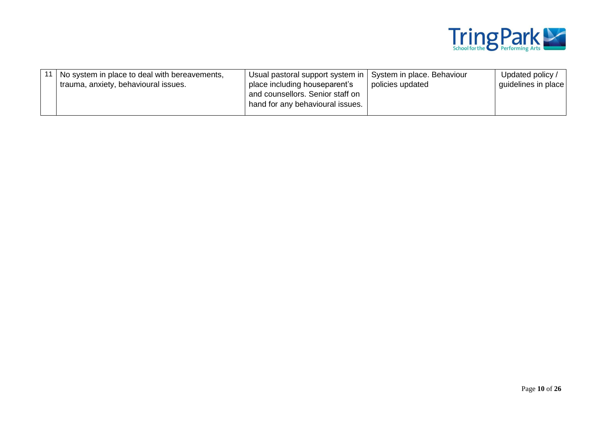

|  | No system in place to deal with bereavements,<br>trauma, anxiety, behavioural issues. | Usual pastoral support system in   System in place. Behaviour<br>place including houseparent's<br>and counsellors. Senior staff on<br>hand for any behavioural issues. | policies updated | Updated policy /<br>guidelines in place |
|--|---------------------------------------------------------------------------------------|------------------------------------------------------------------------------------------------------------------------------------------------------------------------|------------------|-----------------------------------------|
|--|---------------------------------------------------------------------------------------|------------------------------------------------------------------------------------------------------------------------------------------------------------------------|------------------|-----------------------------------------|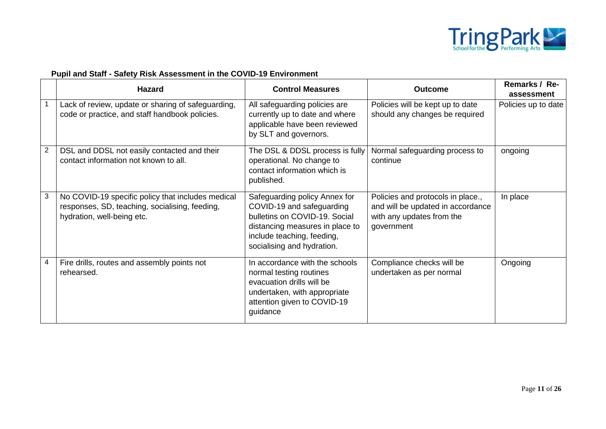

# **Pupil and Staff - Safety Risk Assessment in the COVID-19 Environment**

|   | <b>Hazard</b>                                                                                                                     | <b>Control Measures</b>                                                                                                                                                                    | <b>Outcome</b>                                                                                                    | Remarks / Re-<br>assessment |
|---|-----------------------------------------------------------------------------------------------------------------------------------|--------------------------------------------------------------------------------------------------------------------------------------------------------------------------------------------|-------------------------------------------------------------------------------------------------------------------|-----------------------------|
|   | Lack of review, update or sharing of safeguarding,<br>code or practice, and staff handbook policies.                              | All safeguarding policies are<br>currently up to date and where<br>applicable have been reviewed<br>by SLT and governors.                                                                  | Policies will be kept up to date<br>should any changes be required                                                | Policies up to date         |
| 2 | DSL and DDSL not easily contacted and their<br>contact information not known to all.                                              | The DSL & DDSL process is fully<br>operational. No change to<br>contact information which is<br>published.                                                                                 | Normal safeguarding process to<br>continue                                                                        | ongoing                     |
| 3 | No COVID-19 specific policy that includes medical<br>responses, SD, teaching, socialising, feeding,<br>hydration, well-being etc. | Safeguarding policy Annex for<br>COVID-19 and safeguarding<br>bulletins on COVID-19. Social<br>distancing measures in place to<br>include teaching, feeding,<br>socialising and hydration. | Policies and protocols in place.,<br>and will be updated in accordance<br>with any updates from the<br>government | In place                    |
| 4 | Fire drills, routes and assembly points not<br>rehearsed.                                                                         | In accordance with the schools<br>normal testing routines<br>evacuation drills will be<br>undertaken, with appropriate<br>attention given to COVID-19<br>guidance                          | Compliance checks will be<br>undertaken as per normal                                                             | Ongoing                     |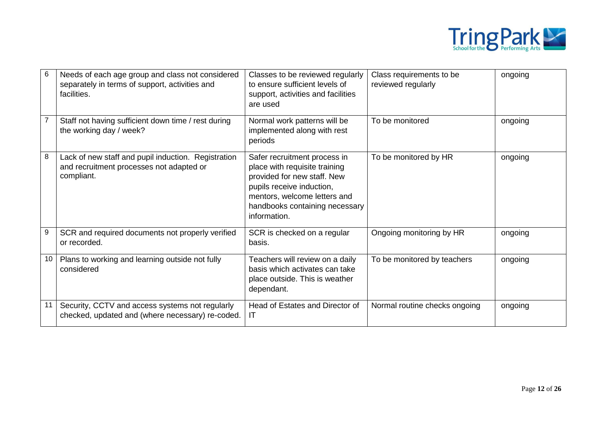

| 6  | Needs of each age group and class not considered<br>separately in terms of support, activities and<br>facilities. | Classes to be reviewed regularly<br>to ensure sufficient levels of<br>support, activities and facilities<br>are used                                                                                        | Class requirements to be<br>reviewed regularly | ongoing |
|----|-------------------------------------------------------------------------------------------------------------------|-------------------------------------------------------------------------------------------------------------------------------------------------------------------------------------------------------------|------------------------------------------------|---------|
|    | Staff not having sufficient down time / rest during<br>the working day / week?                                    | Normal work patterns will be<br>implemented along with rest<br>periods                                                                                                                                      | To be monitored                                | ongoing |
| 8  | Lack of new staff and pupil induction. Registration<br>and recruitment processes not adapted or<br>compliant.     | Safer recruitment process in<br>place with requisite training<br>provided for new staff. New<br>pupils receive induction,<br>mentors, welcome letters and<br>handbooks containing necessary<br>information. | To be monitored by HR                          | ongoing |
| 9  | SCR and required documents not properly verified<br>or recorded.                                                  | SCR is checked on a regular<br>basis.                                                                                                                                                                       | Ongoing monitoring by HR                       | ongoing |
| 10 | Plans to working and learning outside not fully<br>considered                                                     | Teachers will review on a daily<br>basis which activates can take<br>place outside. This is weather<br>dependant.                                                                                           | To be monitored by teachers                    | ongoing |
| 11 | Security, CCTV and access systems not regularly<br>checked, updated and (where necessary) re-coded.               | Head of Estates and Director of<br>IT                                                                                                                                                                       | Normal routine checks ongoing                  | ongoing |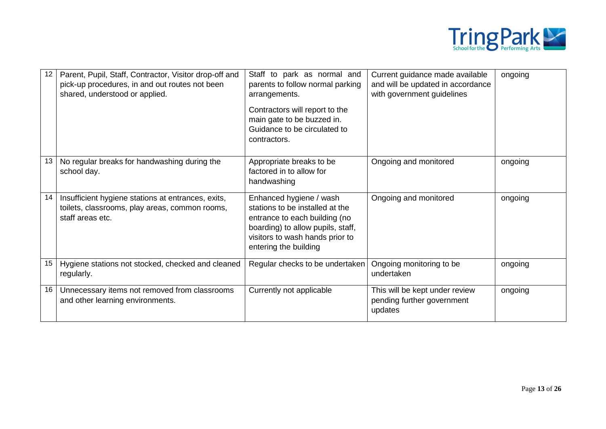

| 12 | Parent, Pupil, Staff, Contractor, Visitor drop-off and<br>pick-up procedures, in and out routes not been<br>shared, understood or applied. | Staff to park as normal and<br>parents to follow normal parking<br>arrangements.<br>Contractors will report to the<br>main gate to be buzzed in.<br>Guidance to be circulated to<br>contractors. | Current guidance made available<br>and will be updated in accordance<br>with government guidelines | ongoing |
|----|--------------------------------------------------------------------------------------------------------------------------------------------|--------------------------------------------------------------------------------------------------------------------------------------------------------------------------------------------------|----------------------------------------------------------------------------------------------------|---------|
| 13 | No regular breaks for handwashing during the<br>school day.                                                                                | Appropriate breaks to be<br>factored in to allow for<br>handwashing                                                                                                                              | Ongoing and monitored                                                                              | ongoing |
| 14 | Insufficient hygiene stations at entrances, exits,<br>toilets, classrooms, play areas, common rooms,<br>staff areas etc.                   | Enhanced hygiene / wash<br>stations to be installed at the<br>entrance to each building (no<br>boarding) to allow pupils, staff,<br>visitors to wash hands prior to<br>entering the building     | Ongoing and monitored                                                                              | ongoing |
| 15 | Hygiene stations not stocked, checked and cleaned<br>regularly.                                                                            | Regular checks to be undertaken                                                                                                                                                                  | Ongoing monitoring to be<br>undertaken                                                             | ongoing |
| 16 | Unnecessary items not removed from classrooms<br>and other learning environments.                                                          | Currently not applicable                                                                                                                                                                         | This will be kept under review<br>pending further government<br>updates                            | ongoing |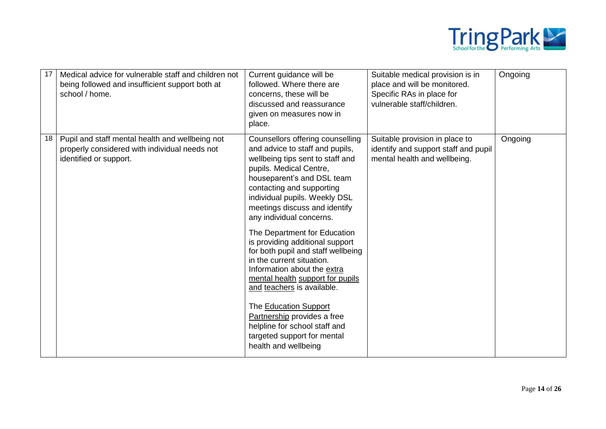

| 17 | Medical advice for vulnerable staff and children not<br>being followed and insufficient support both at<br>school / home.  | Current guidance will be<br>followed. Where there are<br>concerns, these will be<br>discussed and reassurance<br>given on measures now in<br>place.                                                                                                                                                                                                                                                                                                                                                                                                                                                                                                                                | Suitable medical provision is in<br>place and will be monitored.<br>Specific RAs in place for<br>vulnerable staff/children. | Ongoing |
|----|----------------------------------------------------------------------------------------------------------------------------|------------------------------------------------------------------------------------------------------------------------------------------------------------------------------------------------------------------------------------------------------------------------------------------------------------------------------------------------------------------------------------------------------------------------------------------------------------------------------------------------------------------------------------------------------------------------------------------------------------------------------------------------------------------------------------|-----------------------------------------------------------------------------------------------------------------------------|---------|
| 18 | Pupil and staff mental health and wellbeing not<br>properly considered with individual needs not<br>identified or support. | Counsellors offering counselling<br>and advice to staff and pupils,<br>wellbeing tips sent to staff and<br>pupils. Medical Centre,<br>houseparent's and DSL team<br>contacting and supporting<br>individual pupils. Weekly DSL<br>meetings discuss and identify<br>any individual concerns.<br>The Department for Education<br>is providing additional support<br>for both pupil and staff wellbeing<br>in the current situation.<br>Information about the extra<br>mental health support for pupils<br>and teachers is available.<br>The Education Support<br>Partnership provides a free<br>helpline for school staff and<br>targeted support for mental<br>health and wellbeing | Suitable provision in place to<br>identify and support staff and pupil<br>mental health and wellbeing.                      | Ongoing |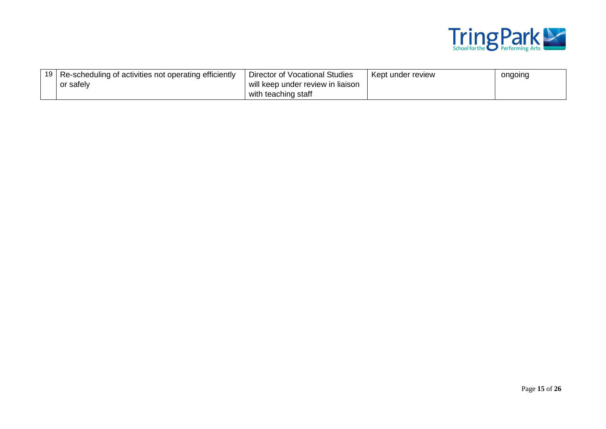

| 19 I | Re-scheduling of activities not operating efficiently | Director of Vocational Studies    | Kept under review | ongoing |
|------|-------------------------------------------------------|-----------------------------------|-------------------|---------|
|      | າr safely                                             | will keep under review in liaison |                   |         |
|      |                                                       | with teaching staff               |                   |         |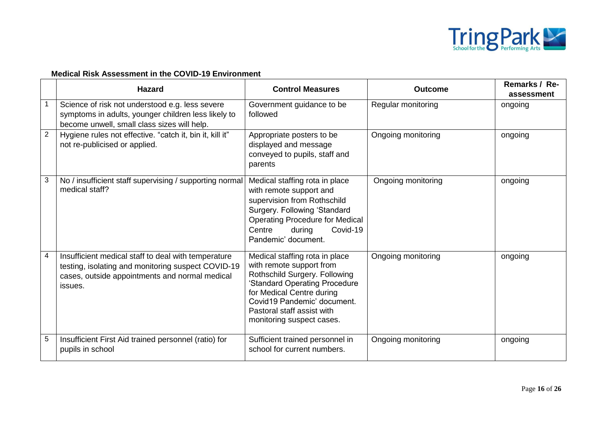

## **Medical Risk Assessment in the COVID-19 Environment**

|                | <b>Hazard</b>                                                                                                                                                          | <b>Control Measures</b>                                                                                                                                                                                                                             | <b>Outcome</b>     | Remarks / Re-<br>assessment |
|----------------|------------------------------------------------------------------------------------------------------------------------------------------------------------------------|-----------------------------------------------------------------------------------------------------------------------------------------------------------------------------------------------------------------------------------------------------|--------------------|-----------------------------|
|                | Science of risk not understood e.g. less severe<br>symptoms in adults, younger children less likely to<br>become unwell, small class sizes will help.                  | Government guidance to be<br>followed                                                                                                                                                                                                               | Regular monitoring | ongoing                     |
| $\overline{2}$ | Hygiene rules not effective. "catch it, bin it, kill it"<br>not re-publicised or applied.                                                                              | Appropriate posters to be<br>displayed and message<br>conveyed to pupils, staff and<br>parents                                                                                                                                                      | Ongoing monitoring | ongoing                     |
| 3              | No / insufficient staff supervising / supporting normal<br>medical staff?                                                                                              | Medical staffing rota in place<br>with remote support and<br>supervision from Rothschild<br>Surgery. Following 'Standard<br><b>Operating Procedure for Medical</b><br>Covid-19<br>Centre<br>during<br>Pandemic' document.                           | Ongoing monitoring | ongoing                     |
| 4              | Insufficient medical staff to deal with temperature<br>testing, isolating and monitoring suspect COVID-19<br>cases, outside appointments and normal medical<br>issues. | Medical staffing rota in place<br>with remote support from<br>Rothschild Surgery. Following<br>'Standard Operating Procedure<br>for Medical Centre during<br>Covid19 Pandemic' document.<br>Pastoral staff assist with<br>monitoring suspect cases. | Ongoing monitoring | ongoing                     |
| 5              | Insufficient First Aid trained personnel (ratio) for<br>pupils in school                                                                                               | Sufficient trained personnel in<br>school for current numbers.                                                                                                                                                                                      | Ongoing monitoring | ongoing                     |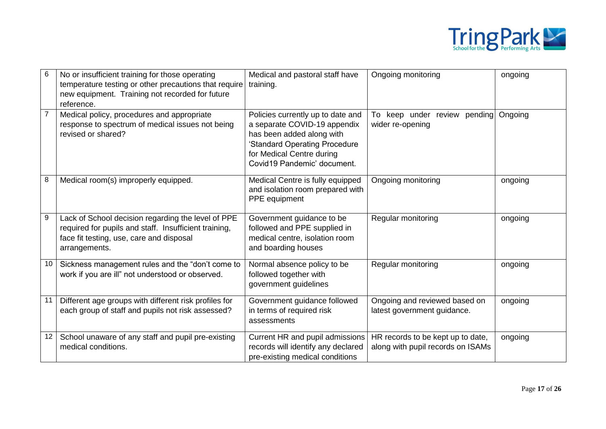

| $\,6$          | No or insufficient training for those operating<br>temperature testing or other precautions that require<br>new equipment. Training not recorded for future<br>reference. | Medical and pastoral staff have<br>training.                                                                                                                                                | Ongoing monitoring                                                     | ongoing |
|----------------|---------------------------------------------------------------------------------------------------------------------------------------------------------------------------|---------------------------------------------------------------------------------------------------------------------------------------------------------------------------------------------|------------------------------------------------------------------------|---------|
| $\overline{7}$ | Medical policy, procedures and appropriate<br>response to spectrum of medical issues not being<br>revised or shared?                                                      | Policies currently up to date and<br>a separate COVID-19 appendix<br>has been added along with<br>'Standard Operating Procedure<br>for Medical Centre during<br>Covid19 Pandemic' document. | keep under review pending<br>To<br>wider re-opening                    | Ongoing |
| 8              | Medical room(s) improperly equipped.                                                                                                                                      | Medical Centre is fully equipped<br>and isolation room prepared with<br>PPE equipment                                                                                                       | Ongoing monitoring                                                     | ongoing |
| 9              | Lack of School decision regarding the level of PPE<br>required for pupils and staff. Insufficient training,<br>face fit testing, use, care and disposal<br>arrangements.  | Government guidance to be<br>followed and PPE supplied in<br>medical centre, isolation room<br>and boarding houses                                                                          | Regular monitoring                                                     | ongoing |
| 10             | Sickness management rules and the "don't come to<br>work if you are ill" not understood or observed.                                                                      | Normal absence policy to be<br>followed together with<br>government guidelines                                                                                                              | Regular monitoring                                                     | ongoing |
| 11             | Different age groups with different risk profiles for<br>each group of staff and pupils not risk assessed?                                                                | Government guidance followed<br>in terms of required risk<br>assessments                                                                                                                    | Ongoing and reviewed based on<br>latest government guidance.           | ongoing |
| 12             | School unaware of any staff and pupil pre-existing<br>medical conditions.                                                                                                 | Current HR and pupil admissions<br>records will identify any declared<br>pre-existing medical conditions                                                                                    | HR records to be kept up to date,<br>along with pupil records on ISAMs | ongoing |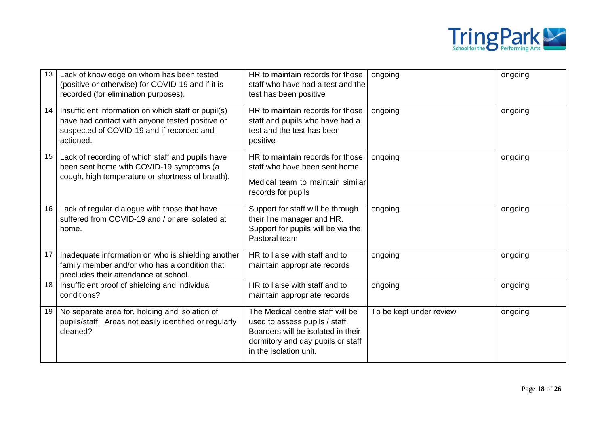

| 13 | Lack of knowledge on whom has been tested<br>(positive or otherwise) for COVID-19 and if it is<br>recorded (for elimination purposes).                           | HR to maintain records for those<br>staff who have had a test and the<br>test has been positive                                                                         | ongoing                 | ongoing |
|----|------------------------------------------------------------------------------------------------------------------------------------------------------------------|-------------------------------------------------------------------------------------------------------------------------------------------------------------------------|-------------------------|---------|
| 14 | Insufficient information on which staff or pupil(s)<br>have had contact with anyone tested positive or<br>suspected of COVID-19 and if recorded and<br>actioned. | HR to maintain records for those<br>staff and pupils who have had a<br>test and the test has been<br>positive                                                           | ongoing                 | ongoing |
| 15 | Lack of recording of which staff and pupils have<br>been sent home with COVID-19 symptoms (a<br>cough, high temperature or shortness of breath).                 | HR to maintain records for those<br>staff who have been sent home.<br>Medical team to maintain similar<br>records for pupils                                            | ongoing                 | ongoing |
| 16 | Lack of regular dialogue with those that have<br>suffered from COVID-19 and / or are isolated at<br>home.                                                        | Support for staff will be through<br>their line manager and HR.<br>Support for pupils will be via the<br>Pastoral team                                                  | ongoing                 | ongoing |
| 17 | Inadequate information on who is shielding another<br>family member and/or who has a condition that<br>precludes their attendance at school.                     | HR to liaise with staff and to<br>maintain appropriate records                                                                                                          | ongoing                 | ongoing |
| 18 | Insufficient proof of shielding and individual<br>conditions?                                                                                                    | HR to liaise with staff and to<br>maintain appropriate records                                                                                                          | ongoing                 | ongoing |
| 19 | No separate area for, holding and isolation of<br>pupils/staff. Areas not easily identified or regularly<br>cleaned?                                             | The Medical centre staff will be<br>used to assess pupils / staff.<br>Boarders will be isolated in their<br>dormitory and day pupils or staff<br>in the isolation unit. | To be kept under review | ongoing |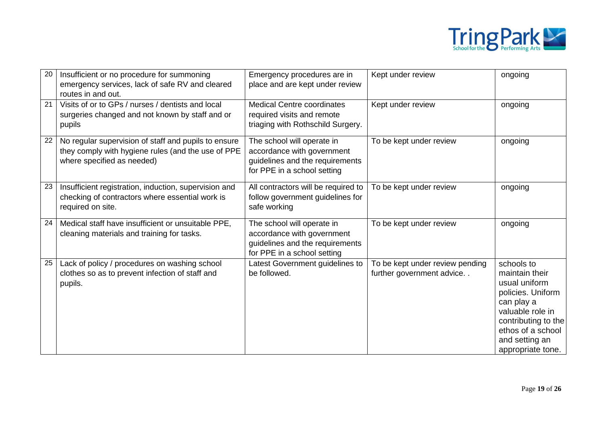

| 20 | Insufficient or no procedure for summoning<br>emergency services, lack of safe RV and cleared<br>routes in and out.                      | Emergency procedures are in<br>place and are kept under review                                                             | Kept under review                                            | ongoing                                                                                                                                                                                 |
|----|------------------------------------------------------------------------------------------------------------------------------------------|----------------------------------------------------------------------------------------------------------------------------|--------------------------------------------------------------|-----------------------------------------------------------------------------------------------------------------------------------------------------------------------------------------|
| 21 | Visits of or to GPs / nurses / dentists and local<br>surgeries changed and not known by staff and or<br>pupils                           | <b>Medical Centre coordinates</b><br>required visits and remote<br>triaging with Rothschild Surgery.                       | Kept under review                                            | ongoing                                                                                                                                                                                 |
| 22 | No regular supervision of staff and pupils to ensure<br>they comply with hygiene rules (and the use of PPE<br>where specified as needed) | The school will operate in<br>accordance with government<br>guidelines and the requirements<br>for PPE in a school setting | To be kept under review                                      | ongoing                                                                                                                                                                                 |
| 23 | Insufficient registration, induction, supervision and<br>checking of contractors where essential work is<br>required on site.            | All contractors will be required to<br>follow government guidelines for<br>safe working                                    | To be kept under review                                      | ongoing                                                                                                                                                                                 |
| 24 | Medical staff have insufficient or unsuitable PPE,<br>cleaning materials and training for tasks.                                         | The school will operate in<br>accordance with government<br>guidelines and the requirements<br>for PPE in a school setting | To be kept under review                                      | ongoing                                                                                                                                                                                 |
| 25 | Lack of policy / procedures on washing school<br>clothes so as to prevent infection of staff and<br>pupils.                              | Latest Government guidelines to<br>be followed.                                                                            | To be kept under review pending<br>further government advice | schools to<br>maintain their<br>usual uniform<br>policies. Uniform<br>can play a<br>valuable role in<br>contributing to the<br>ethos of a school<br>and setting an<br>appropriate tone. |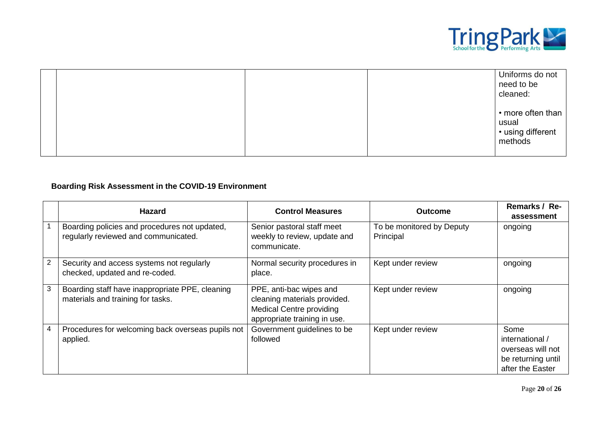

|  | Uniforms do not<br>need to be    |
|--|----------------------------------|
|  | cleaned:                         |
|  | $\cdot$ more often than<br>usual |
|  | · using different<br>methods     |

### **Boarding Risk Assessment in the COVID-19 Environment**

|              | <b>Hazard</b>                                                                         | <b>Control Measures</b>                                                                                                    | <b>Outcome</b>                         | Remarks / Re-<br>assessment                                                            |
|--------------|---------------------------------------------------------------------------------------|----------------------------------------------------------------------------------------------------------------------------|----------------------------------------|----------------------------------------------------------------------------------------|
|              | Boarding policies and procedures not updated,<br>regularly reviewed and communicated. | Senior pastoral staff meet<br>weekly to review, update and<br>communicate.                                                 | To be monitored by Deputy<br>Principal | ongoing                                                                                |
| $\mathbf{2}$ | Security and access systems not regularly<br>checked, updated and re-coded.           | Normal security procedures in<br>place.                                                                                    | Kept under review                      | ongoing                                                                                |
| 3            | Boarding staff have inappropriate PPE, cleaning<br>materials and training for tasks.  | PPE, anti-bac wipes and<br>cleaning materials provided.<br><b>Medical Centre providing</b><br>appropriate training in use. | Kept under review                      | ongoing                                                                                |
| 4            | Procedures for welcoming back overseas pupils not<br>applied.                         | Government guidelines to be<br>followed                                                                                    | Kept under review                      | Some<br>international /<br>overseas will not<br>be returning until<br>after the Easter |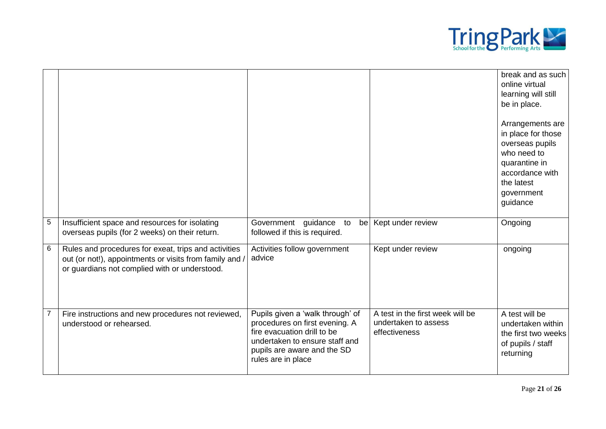

|                 |                                                                                                                                                                  |                                                                                                                                                                                          |                                                                           | break and as such<br>online virtual<br>learning will still<br>be in place.<br>Arrangements are<br>in place for those<br>overseas pupils<br>who need to<br>quarantine in<br>accordance with<br>the latest<br>government<br>guidance |
|-----------------|------------------------------------------------------------------------------------------------------------------------------------------------------------------|------------------------------------------------------------------------------------------------------------------------------------------------------------------------------------------|---------------------------------------------------------------------------|------------------------------------------------------------------------------------------------------------------------------------------------------------------------------------------------------------------------------------|
| $\overline{5}$  | Insufficient space and resources for isolating<br>overseas pupils (for 2 weeks) on their return.                                                                 | Government guidance to<br>followed if this is required.                                                                                                                                  | be   Kept under review                                                    | Ongoing                                                                                                                                                                                                                            |
| $6\phantom{1}6$ | Rules and procedures for exeat, trips and activities<br>out (or not!), appointments or visits from family and /<br>or guardians not complied with or understood. | Activities follow government<br>advice                                                                                                                                                   | Kept under review                                                         | ongoing                                                                                                                                                                                                                            |
| $\overline{7}$  | Fire instructions and new procedures not reviewed,<br>understood or rehearsed.                                                                                   | Pupils given a 'walk through' of<br>procedures on first evening. A<br>fire evacuation drill to be<br>undertaken to ensure staff and<br>pupils are aware and the SD<br>rules are in place | A test in the first week will be<br>undertaken to assess<br>effectiveness | A test will be<br>undertaken within<br>the first two weeks<br>of pupils / staff<br>returning                                                                                                                                       |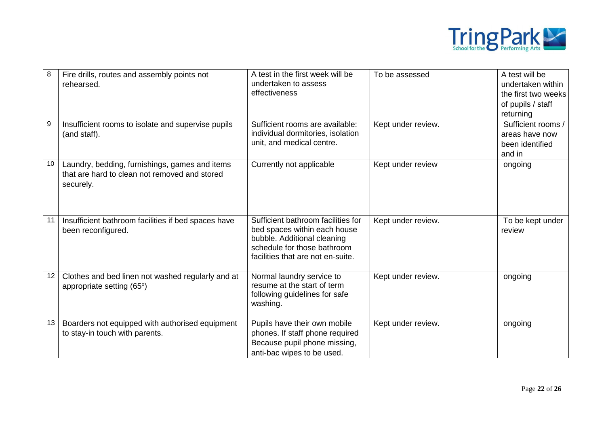

| $\, 8$           | Fire drills, routes and assembly points not<br>rehearsed.                                                    | A test in the first week will be<br>undertaken to assess<br>effectiveness                                                                                             | To be assessed     | A test will be<br>undertaken within<br>the first two weeks<br>of pupils / staff<br>returning |
|------------------|--------------------------------------------------------------------------------------------------------------|-----------------------------------------------------------------------------------------------------------------------------------------------------------------------|--------------------|----------------------------------------------------------------------------------------------|
| $\boldsymbol{9}$ | Insufficient rooms to isolate and supervise pupils<br>(and staff).                                           | Sufficient rooms are available:<br>individual dormitories, isolation<br>unit, and medical centre.                                                                     | Kept under review. | Sufficient rooms /<br>areas have now<br>been identified<br>and in                            |
| 10               | Laundry, bedding, furnishings, games and items<br>that are hard to clean not removed and stored<br>securely. | Currently not applicable                                                                                                                                              | Kept under review  | ongoing                                                                                      |
| 11               | Insufficient bathroom facilities if bed spaces have<br>been reconfigured.                                    | Sufficient bathroom facilities for<br>bed spaces within each house<br>bubble. Additional cleaning<br>schedule for those bathroom<br>facilities that are not en-suite. | Kept under review. | To be kept under<br>review                                                                   |
| 12               | Clothes and bed linen not washed regularly and at<br>appropriate setting (65°)                               | Normal laundry service to<br>resume at the start of term<br>following guidelines for safe<br>washing.                                                                 | Kept under review. | ongoing                                                                                      |
| 13               | Boarders not equipped with authorised equipment<br>to stay-in touch with parents.                            | Pupils have their own mobile<br>phones. If staff phone required<br>Because pupil phone missing,<br>anti-bac wipes to be used.                                         | Kept under review. | ongoing                                                                                      |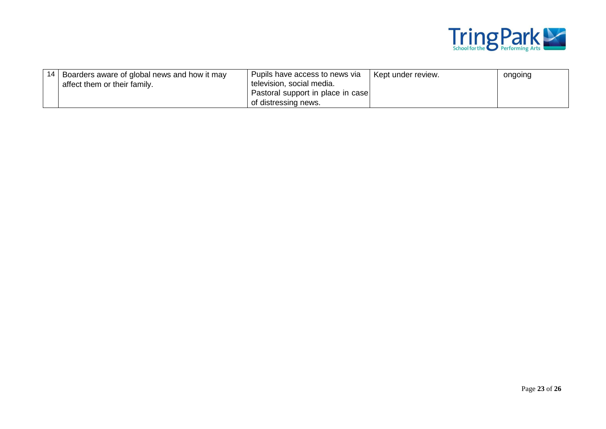

| 14   Boarders aware of global news and how it may | Pupils have access to news via    | Kept under review. | ongoing |
|---------------------------------------------------|-----------------------------------|--------------------|---------|
| affect them or their family.                      | television, social media.         |                    |         |
|                                                   | Pastoral support in place in case |                    |         |
|                                                   | of distressing news.              |                    |         |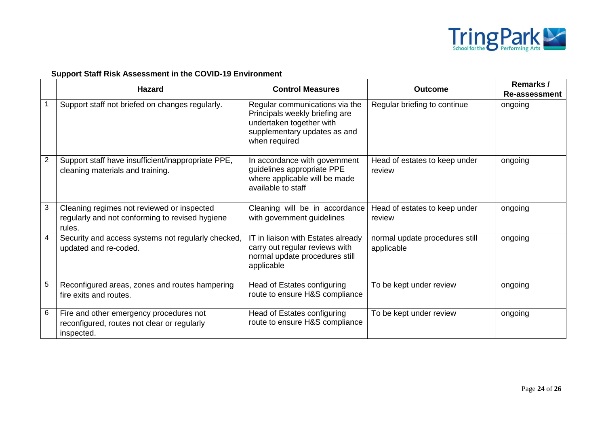

### **Support Staff Risk Assessment in the COVID-19 Environment**

|                | <b>Hazard</b>                                                                                           | <b>Control Measures</b>                                                                                                                       | <b>Outcome</b>                               | Remarks /<br>Re-assessment |
|----------------|---------------------------------------------------------------------------------------------------------|-----------------------------------------------------------------------------------------------------------------------------------------------|----------------------------------------------|----------------------------|
|                | Support staff not briefed on changes regularly.                                                         | Regular communications via the<br>Principals weekly briefing are<br>undertaken together with<br>supplementary updates as and<br>when required | Regular briefing to continue                 | ongoing                    |
| $\overline{2}$ | Support staff have insufficient/inappropriate PPE,<br>cleaning materials and training.                  | In accordance with government<br>guidelines appropriate PPE<br>where applicable will be made<br>available to staff                            | Head of estates to keep under<br>review      | ongoing                    |
| 3              | Cleaning regimes not reviewed or inspected<br>regularly and not conforming to revised hygiene<br>rules. | Cleaning will be in accordance<br>with government guidelines                                                                                  | Head of estates to keep under<br>review      | ongoing                    |
| 4              | Security and access systems not regularly checked,<br>updated and re-coded.                             | IT in liaison with Estates already<br>carry out regular reviews with<br>normal update procedures still<br>applicable                          | normal update procedures still<br>applicable | ongoing                    |
| 5              | Reconfigured areas, zones and routes hampering<br>fire exits and routes.                                | Head of Estates configuring<br>route to ensure H&S compliance                                                                                 | To be kept under review                      | ongoing                    |
| 6              | Fire and other emergency procedures not<br>reconfigured, routes not clear or regularly<br>inspected.    | Head of Estates configuring<br>route to ensure H&S compliance                                                                                 | To be kept under review                      | ongoing                    |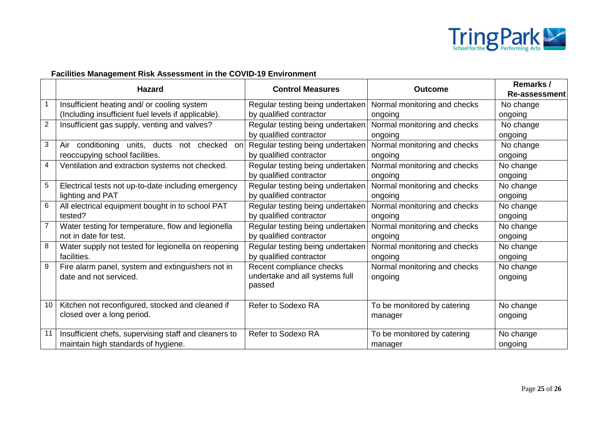

## **Facilities Management Risk Assessment in the COVID-19 Environment**

|                | <b>Hazard</b>                                            | <b>Control Measures</b>          | <b>Outcome</b>               | Remarks /            |
|----------------|----------------------------------------------------------|----------------------------------|------------------------------|----------------------|
|                |                                                          |                                  |                              | <b>Re-assessment</b> |
| $\mathbf{1}$   | Insufficient heating and/ or cooling system              | Regular testing being undertaken | Normal monitoring and checks | No change            |
|                | (Including insufficient fuel levels if applicable).      | by qualified contractor          | ongoing                      | ongoing              |
| $\overline{2}$ | Insufficient gas supply, venting and valves?             | Regular testing being undertaken | Normal monitoring and checks | No change            |
|                |                                                          | by qualified contractor          | ongoing                      | ongoing              |
| 3              | conditioning<br>units, ducts<br>not checked<br>Air<br>on | Regular testing being undertaken | Normal monitoring and checks | No change            |
|                | reoccupying school facilities.                           | by qualified contractor          | ongoing                      | ongoing              |
| 4              | Ventilation and extraction systems not checked.          | Regular testing being undertaken | Normal monitoring and checks | No change            |
|                |                                                          | by qualified contractor          | ongoing                      | ongoing              |
| 5              | Electrical tests not up-to-date including emergency      | Regular testing being undertaken | Normal monitoring and checks | No change            |
|                | lighting and PAT                                         | by qualified contractor          | ongoing                      | ongoing              |
| $\,6$          | All electrical equipment bought in to school PAT         | Regular testing being undertaken | Normal monitoring and checks | No change            |
|                | tested?                                                  | by qualified contractor          | ongoing                      | ongoing              |
|                | Water testing for temperature, flow and legionella       | Regular testing being undertaken | Normal monitoring and checks | No change            |
|                | not in date for test.                                    | by qualified contractor          | ongoing                      | ongoing              |
| 8              | Water supply not tested for legionella on reopening      | Regular testing being undertaken | Normal monitoring and checks | No change            |
|                | facilities.                                              | by qualified contractor          | ongoing                      | ongoing              |
| 9              | Fire alarm panel, system and extinguishers not in        | Recent compliance checks         | Normal monitoring and checks | No change            |
|                | date and not serviced.                                   | undertake and all systems full   | ongoing                      | ongoing              |
|                |                                                          | passed                           |                              |                      |
|                |                                                          |                                  |                              |                      |
| 10             | Kitchen not reconfigured, stocked and cleaned if         | Refer to Sodexo RA               | To be monitored by catering  | No change            |
|                | closed over a long period.                               |                                  | manager                      | ongoing              |
|                |                                                          |                                  |                              |                      |
| 11             | Insufficient chefs, supervising staff and cleaners to    | Refer to Sodexo RA               | To be monitored by catering  | No change            |
|                | maintain high standards of hygiene.                      |                                  | manager                      | ongoing              |